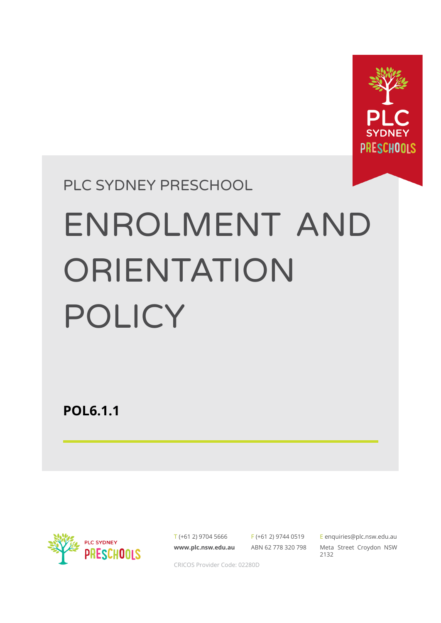

# PLC SYDNEY PRESCHOOL ENROLMENT AND **ORIENTATION** POLICY

**POL6.1.1**



T (+61 2) 9704 5666 **[www.plc.nsw.edu.au](http://www.plc.nsw.edu.au)**

F (+61 2) 9744 0519 ABN 62 778 320 798 E [enquiries@plc.nsw.edu.au](mailto:enquiries@plc.nsw.edu.au) Meta Street Croydon NSW 2132

CRICOS Provider Code: 02280D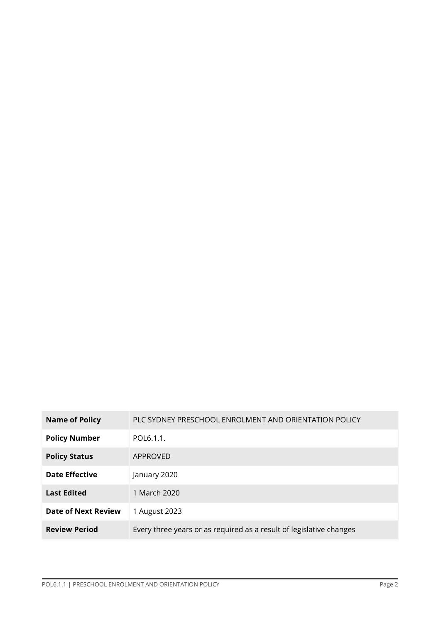| <b>Name of Policy</b> | PLC SYDNEY PRESCHOOL ENROLMENT AND ORIENTATION POLICY               |
|-----------------------|---------------------------------------------------------------------|
| <b>Policy Number</b>  | POL6.1.1.                                                           |
| <b>Policy Status</b>  | APPROVED                                                            |
| <b>Date Effective</b> | January 2020                                                        |
| <b>Last Edited</b>    | 1 March 2020                                                        |
| Date of Next Review   | 1 August 2023                                                       |
| <b>Review Period</b>  | Every three years or as required as a result of legislative changes |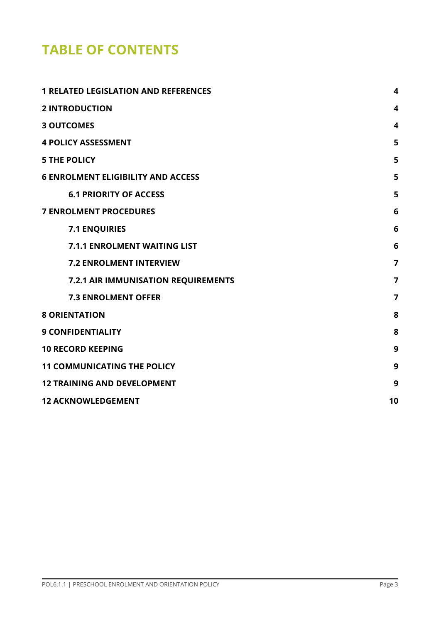# **TABLE OF CONTENTS**

| <b>1 RELATED LEGISLATION AND REFERENCES</b> | 4              |
|---------------------------------------------|----------------|
| <b>2 INTRODUCTION</b>                       | 4              |
| <b>3 OUTCOMES</b>                           | 4              |
| <b>4 POLICY ASSESSMENT</b>                  | 5              |
| <b>5 THE POLICY</b>                         | 5              |
| <b>6 ENROLMENT ELIGIBILITY AND ACCESS</b>   | 5              |
| <b>6.1 PRIORITY OF ACCESS</b>               | 5              |
| <b>7 ENROLMENT PROCEDURES</b>               | 6              |
| <b>7.1 ENQUIRIES</b>                        | 6              |
| <b>7.1.1 ENROLMENT WAITING LIST</b>         | 6              |
| <b>7.2 ENROLMENT INTERVIEW</b>              | $\overline{7}$ |
| 7.2.1 AIR IMMUNISATION REQUIREMENTS         | 7              |
| <b>7.3 ENROLMENT OFFER</b>                  | 7              |
| <b>8 ORIENTATION</b>                        | 8              |
| <b>9 CONFIDENTIALITY</b>                    | 8              |
| <b>10 RECORD KEEPING</b>                    | 9              |
| <b>11 COMMUNICATING THE POLICY</b>          | 9              |
| <b>12 TRAINING AND DEVELOPMENT</b>          | 9              |
| <b>12 ACKNOWLEDGEMENT</b>                   | 10             |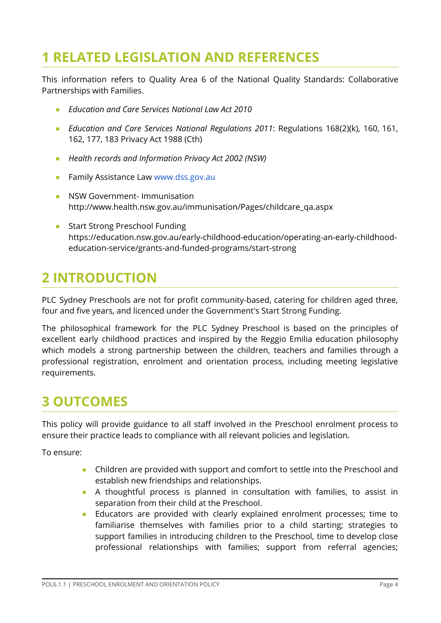# <span id="page-3-0"></span>**1 RELATED LEGISLATION AND REFERENCES**

This information refers to Quality Area 6 of the National Quality Standards: Collaborative Partnerships with Families.

- *● Education and Care Services National Law Act 2010*
- *Education and Care Services National Regulations 2011*: Regulations 168(2)(k), 160, 161, 162, 177, 183 Privacy Act 1988 (Cth)
- *● Health records and Information Privacy Act 2002 (NSW)*
- Family Assistance Law [www.dss.gov.au](http://www.dss.gov.au/)
- NSW Gover[n](http://www.health.nsw.gov.au/immunisation/Pages/childcare_qa.aspx)ment- Immunisation [http://www.health.nsw.gov.au/immunisation/Pages/childcare\\_qa.aspx](http://www.health.nsw.gov.au/immunisation/Pages/childcare_qa.aspx)
- **Start Strong Preschool Funding** [https://education.nsw.gov.au/early-childhood-education/operating-an-early-childhood](https://education.nsw.gov.au/early-childhood-education/operating-an-early-childhood-education-service/grants-and-funded-programs/start-strong)[education-service/grants-and-funded-programs/start-strong](https://education.nsw.gov.au/early-childhood-education/operating-an-early-childhood-education-service/grants-and-funded-programs/start-strong)

# <span id="page-3-1"></span>**2 INTRODUCTION**

PLC Sydney Preschools are not for profit community-based, catering for children aged three, four and five years, and licenced under the Government's Start Strong Funding.

The philosophical framework for the PLC Sydney Preschool is based on the principles of excellent early childhood practices and inspired by the Reggio Emilia education philosophy which models a strong partnership between the children, teachers and families through a professional registration, enrolment and orientation process, including meeting legislative requirements.

## <span id="page-3-2"></span>**3 OUTCOMES**

This policy will provide guidance to all staff involved in the Preschool enrolment process to ensure their practice leads to compliance with all relevant policies and legislation.

To ensure:

- Children are provided with support and comfort to settle into the Preschool and establish new friendships and relationships.
- A thoughtful process is planned in consultation with families, to assist in separation from their child at the Preschool.
- Educators are provided with clearly explained enrolment processes; time to familiarise themselves with families prior to a child starting; strategies to support families in introducing children to the Preschool, time to develop close professional relationships with families; support from referral agencies;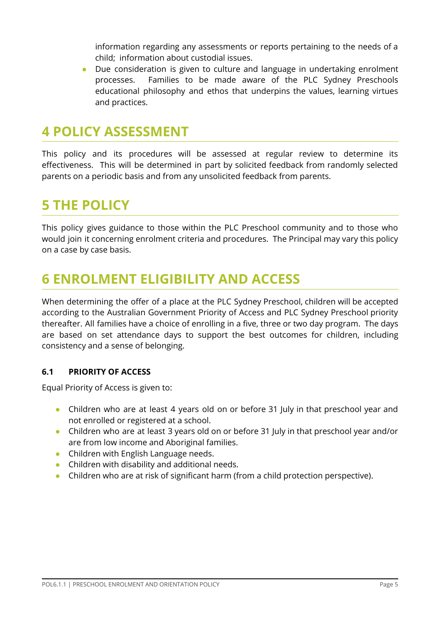information regarding any assessments or reports pertaining to the needs of a child; information about custodial issues.

Due consideration is given to culture and language in undertaking enrolment processes. Families to be made aware of the PLC Sydney Preschools educational philosophy and ethos that underpins the values, learning virtues and practices.

## <span id="page-4-0"></span>**4 POLICY ASSESSMENT**

This policy and its procedures will be assessed at regular review to determine its effectiveness. This will be determined in part by solicited feedback from randomly selected parents on a periodic basis and from any unsolicited feedback from parents.

## <span id="page-4-1"></span>**5 THE POLICY**

This policy gives guidance to those within the PLC Preschool community and to those who would join it concerning enrolment criteria and procedures. The Principal may vary this policy on a case by case basis.

## <span id="page-4-2"></span>**6 ENROLMENT ELIGIBILITY AND ACCESS**

When determining the offer of a place at the PLC Sydney Preschool, children will be accepted according to the Australian Government Priority of Access and PLC Sydney Preschool priority thereafter. All families have a choice of enrolling in a five, three or two day program. The days are based on set attendance days to support the best outcomes for children, including consistency and a sense of belonging.

## <span id="page-4-3"></span>**6.1 PRIORITY OF ACCESS**

Equal Priority of Access is given to:

- Children who are at least 4 years old on or before 31 July in that preschool year and not enrolled or registered at a school.
- Children who are at least 3 years old on or before 31 July in that preschool year and/or are from low income and Aboriginal families.
- Children with English Language needs.
- Children with disability and additional needs.
- Children who are at risk of significant harm (from a child protection perspective).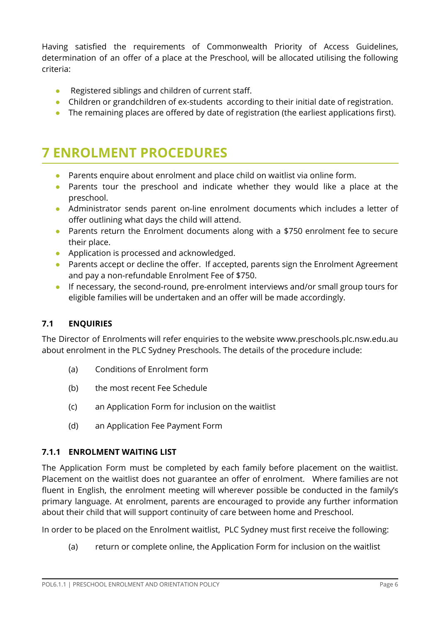Having satisfied the requirements of Commonwealth Priority of Access Guidelines, determination of an offer of a place at the Preschool, will be allocated utilising the following criteria:

- Registered siblings and children of current staff.
- Children or grandchildren of ex-students according to their initial date of registration.
- The remaining places are offered by date of registration (the earliest applications first).

## <span id="page-5-0"></span>**7 ENROLMENT PROCEDURES**

- Parents enquire about enrolment and place child on waitlist via online form.
- Parents tour the preschool and indicate whether they would like a place at the preschool.
- Administrator sends parent on-line enrolment documents which includes a letter of offer outlining what days the child will attend.
- Parents return the Enrolment documents along with a \$750 enrolment fee to secure their place.
- Application is processed and acknowledged.
- Parents accept or decline the offer. If accepted, parents sign the Enrolment Agreement and pay a non-refundable Enrolment Fee of \$750.
- If necessary, the second-round, pre-enrolment interviews and/or small group tours for eligible families will be undertaken and an offer will be made accordingly.

## <span id="page-5-1"></span>**7.1 ENQUIRIES**

The Director of Enrolments will refer enquiries to the website www.preschools.plc.nsw.edu.au about enrolment in the PLC Sydney Preschools. The details of the procedure include:

- (a) Conditions of Enrolment form
- (b) the most recent Fee Schedule
- (c) an Application Form for inclusion on the waitlist
- (d) an Application Fee Payment Form

## <span id="page-5-2"></span>**7.1.1 ENROLMENT WAITING LIST**

The Application Form must be completed by each family before placement on the waitlist. Placement on the waitlist does not guarantee an offer of enrolment. Where families are not fluent in English, the enrolment meeting will wherever possible be conducted in the family's primary language. At enrolment, parents are encouraged to provide any further information about their child that will support continuity of care between home and Preschool.

In order to be placed on the Enrolment waitlist, PLC Sydney must first receive the following:

(a) return or complete online, the Application Form for inclusion on the waitlist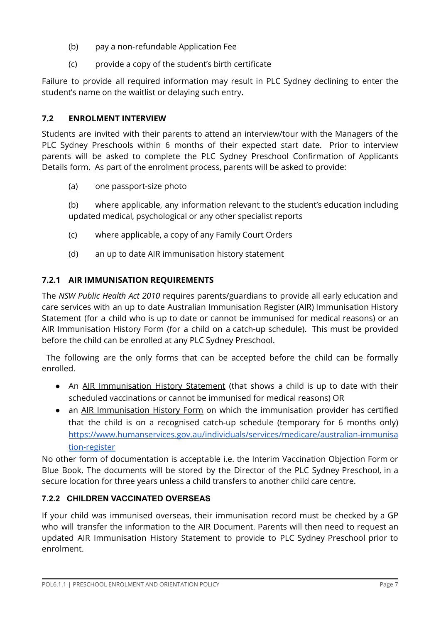- (b) pay a non-refundable Application Fee
- (c) provide a copy of the student's birth certificate

Failure to provide all required information may result in PLC Sydney declining to enter the student's name on the waitlist or delaying such entry.

## <span id="page-6-0"></span>**7.2 ENROLMENT INTERVIEW**

Students are invited with their parents to attend an interview/tour with the Managers of the PLC Sydney Preschools within 6 months of their expected start date. Prior to interview parents will be asked to complete the PLC Sydney Preschool Confirmation of Applicants Details form. As part of the enrolment process, parents will be asked to provide:

(a) one passport-size photo

(b) where applicable, any information relevant to the student's education including updated medical, psychological or any other specialist reports

- (c) where applicable, a copy of any Family Court Orders
- (d) an up to date AIR immunisation history statement

## <span id="page-6-1"></span>**7.2.1 AIR IMMUNISATION REQUIREMENTS**

The *NSW Public Health Act 2010* requires parents/guardians to provide all early education and care services with an up to date Australian Immunisation Register (AIR) Immunisation History Statement (for a child who is up to date or cannot be immunised for medical reasons) or an AIR Immunisation History Form (for a child on a catch-up schedule). This must be provided before the child can be enrolled at any PLC Sydney Preschool.

The following are the only forms that can be accepted before the child can be formally enrolled.

- An AIR [Immunisation](http://www.health.nsw.gov.au/immunisation/Pages/childcare_qa.aspx) History Statement (that shows a child is up to date with their scheduled vaccinations or cannot be immunised for medical reasons) OR
- an AIR [Immunisation](https://www.humanservices.gov.au/health-professionals/forms/im013) History Form on which the immunisation provider has certified that the child is on a recognised catch-up schedule (temporary for 6 months only) [https://www.humanservices.gov.au/individuals/services/medicare/australian-immunisa](https://www.humanservices.gov.au/individuals/services/medicare/australian-immunisation-register) [tion-register](https://www.humanservices.gov.au/individuals/services/medicare/australian-immunisation-register)

No other form of documentation is acceptable i.e. the Interim Vaccination Objection Form or Blue Book. The documents will be stored by the Director of the PLC Sydney Preschool, in a secure location for three years unless a child transfers to another child care centre.

## **7.2.2 CHILDREN VACCINATED OVERSEAS**

If your child was immunised overseas, their immunisation record must be checked by a GP who will transfer the information to the AIR Document. Parents will then need to request an updated AIR Immunisation History Statement to provide to PLC Sydney Preschool prior to enrolment.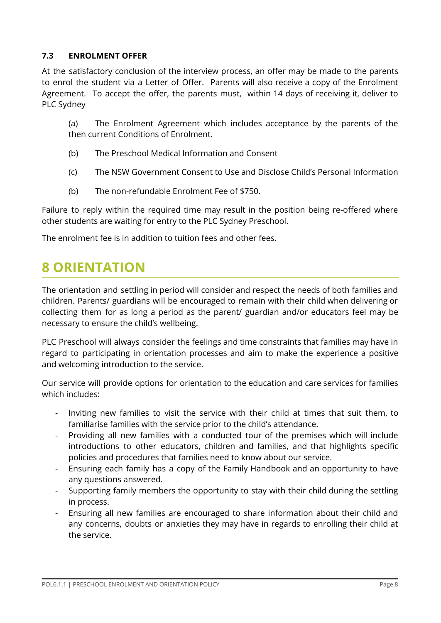#### <span id="page-7-0"></span>**7.3 ENROLMENT OFFER**

At the satisfactory conclusion of the interview process, an offer may be made to the parents to enrol the student via a Letter of Offer. Parents will also receive a copy of the Enrolment Agreement. To accept the offer, the parents must, within 14 days of receiving it, deliver to PLC Sydney

(a) The Enrolment Agreement which includes acceptance by the parents of the then current Conditions of Enrolment.

- (b) The Preschool Medical Information and Consent
- (c) The NSW Government Consent to Use and Disclose Child's Personal Information
- (b) The non-refundable Enrolment Fee of \$750.

Failure to reply within the required time may result in the position being re-offered where other students are waiting for entry to the PLC Sydney Preschool.

The enrolment fee is in addition to tuition fees and other fees.

## <span id="page-7-1"></span>**8 ORIENTATION**

The orientation and settling in period will consider and respect the needs of both families and children. Parents/ guardians will be encouraged to remain with their child when delivering or collecting them for as long a period as the parent/ guardian and/or educators feel may be necessary to ensure the child's wellbeing.

PLC Preschool will always consider the feelings and time constraints that families may have in regard to participating in orientation processes and aim to make the experience a positive and welcoming introduction to the service.

Our service will provide options for orientation to the education and care services for families which includes:

- Inviting new families to visit the service with their child at times that suit them, to familiarise families with the service prior to the child's attendance.
- Providing all new families with a conducted tour of the premises which will include introductions to other educators, children and families, and that highlights specific policies and procedures that families need to know about our service.
- Ensuring each family has a copy of the Family Handbook and an opportunity to have any questions answered.
- Supporting family members the opportunity to stay with their child during the settling in process.
- Ensuring all new families are encouraged to share information about their child and any concerns, doubts or anxieties they may have in regards to enrolling their child at the service.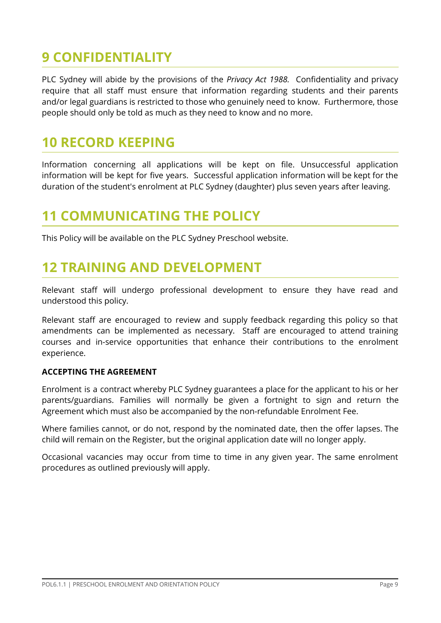# <span id="page-8-0"></span>**9 CONFIDENTIALITY**

PLC Sydney will abide by the provisions of the *Privacy Act 1988.* Confidentiality and privacy require that all staff must ensure that information regarding students and their parents and/or legal guardians is restricted to those who genuinely need to know. Furthermore, those people should only be told as much as they need to know and no more.

## <span id="page-8-1"></span>**10 RECORD KEEPING**

Information concerning all applications will be kept on file. Unsuccessful application information will be kept for five years. Successful application information will be kept for the duration of the student's enrolment at PLC Sydney (daughter) plus seven years after leaving.

## <span id="page-8-2"></span>**11 COMMUNICATING THE POLICY**

This Policy will be available on the PLC Sydney Preschool website.

# <span id="page-8-3"></span>**12 TRAINING AND DEVELOPMENT**

Relevant staff will undergo professional development to ensure they have read and understood this policy.

Relevant staff are encouraged to review and supply feedback regarding this policy so that amendments can be implemented as necessary. Staff are encouraged to attend training courses and in-service opportunities that enhance their contributions to the enrolment experience.

#### **ACCEPTING THE AGREEMENT**

Enrolment is a contract whereby PLC Sydney guarantees a place for the applicant to his or her parents/guardians. Families will normally be given a fortnight to sign and return the Agreement which must also be accompanied by the non-refundable Enrolment Fee.

Where families cannot, or do not, respond by the nominated date, then the offer lapses. The child will remain on the Register, but the original application date will no longer apply.

Occasional vacancies may occur from time to time in any given year. The same enrolment procedures as outlined previously will apply.